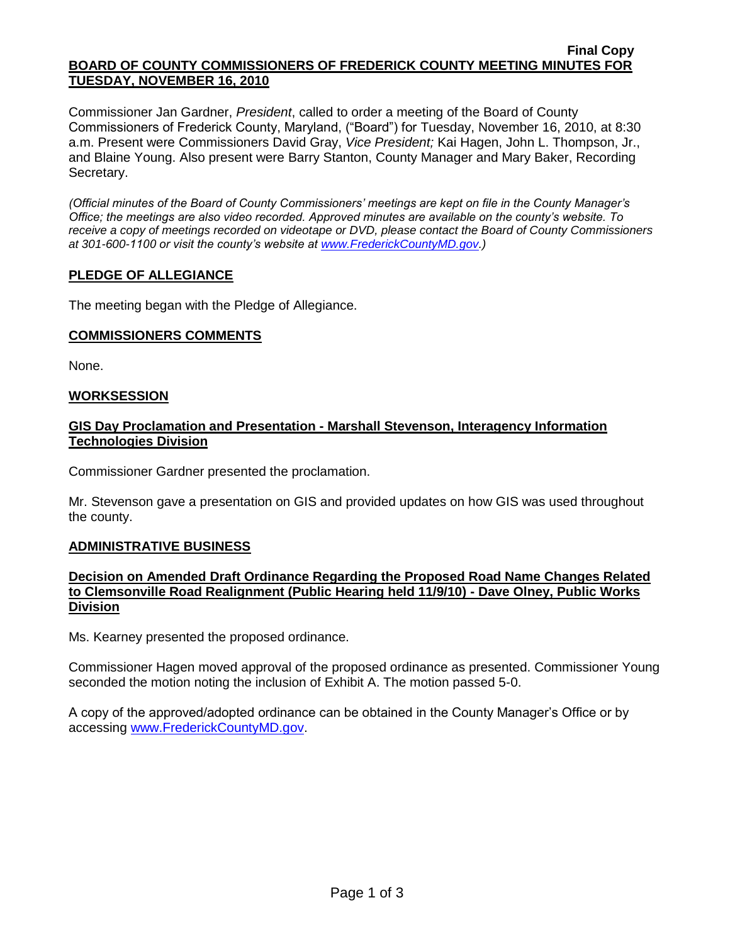#### **Final Copy BOARD OF COUNTY COMMISSIONERS OF FREDERICK COUNTY MEETING MINUTES FOR TUESDAY, NOVEMBER 16, 2010**

Commissioner Jan Gardner, *President*, called to order a meeting of the Board of County Commissioners of Frederick County, Maryland, ("Board") for Tuesday, November 16, 2010, at 8:30 a.m. Present were Commissioners David Gray, *Vice President;* Kai Hagen, John L. Thompson, Jr., and Blaine Young. Also present were Barry Stanton, County Manager and Mary Baker, Recording Secretary.

*(Official minutes of the Board of County Commissioners' meetings are kept on file in the County Manager's Office; the meetings are also video recorded. Approved minutes are available on the county's website. To receive a copy of meetings recorded on videotape or DVD, please contact the Board of County Commissioners at 301-600-1100 or visit the county's website at [www.FrederickCountyMD.gov.](http://www.frederickcountymd.gov/))*

# **PLEDGE OF ALLEGIANCE**

The meeting began with the Pledge of Allegiance.

### **COMMISSIONERS COMMENTS**

None.

## **WORKSESSION**

## **GIS Day Proclamation and Presentation - Marshall Stevenson, Interagency Information Technologies Division**

Commissioner Gardner presented the proclamation.

Mr. Stevenson gave a presentation on GIS and provided updates on how GIS was used throughout the county.

# **ADMINISTRATIVE BUSINESS**

## **Decision on Amended Draft Ordinance Regarding the Proposed Road Name Changes Related to Clemsonville Road Realignment (Public Hearing held 11/9/10) - Dave Olney, Public Works Division**

Ms. Kearney presented the proposed ordinance.

Commissioner Hagen moved approval of the proposed ordinance as presented. Commissioner Young seconded the motion noting the inclusion of Exhibit A. The motion passed 5-0.

A copy of the approved/adopted ordinance can be obtained in the County Manager's Office or by accessing [www.FrederickCountyMD.gov.](file://NT1S5/BOCC/BOCC/BOCC%20Minutes/Mary)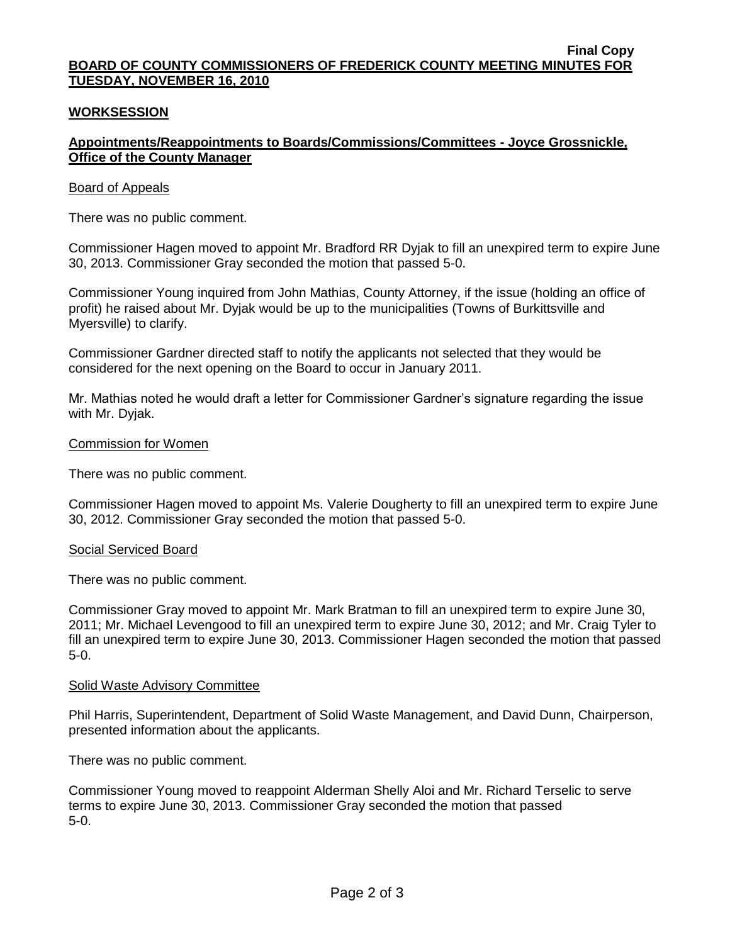#### **Final Copy BOARD OF COUNTY COMMISSIONERS OF FREDERICK COUNTY MEETING MINUTES FOR TUESDAY, NOVEMBER 16, 2010**

## **WORKSESSION**

## **Appointments/Reappointments to Boards/Commissions/Committees - Joyce Grossnickle, Office of the County Manager**

### Board of Appeals

There was no public comment.

Commissioner Hagen moved to appoint Mr. Bradford RR Dyjak to fill an unexpired term to expire June 30, 2013. Commissioner Gray seconded the motion that passed 5-0.

Commissioner Young inquired from John Mathias, County Attorney, if the issue (holding an office of profit) he raised about Mr. Dyjak would be up to the municipalities (Towns of Burkittsville and Myersville) to clarify.

Commissioner Gardner directed staff to notify the applicants not selected that they would be considered for the next opening on the Board to occur in January 2011.

Mr. Mathias noted he would draft a letter for Commissioner Gardner's signature regarding the issue with Mr. Dyjak.

#### Commission for Women

There was no public comment.

Commissioner Hagen moved to appoint Ms. Valerie Dougherty to fill an unexpired term to expire June 30, 2012. Commissioner Gray seconded the motion that passed 5-0.

### Social Serviced Board

There was no public comment.

Commissioner Gray moved to appoint Mr. Mark Bratman to fill an unexpired term to expire June 30, 2011; Mr. Michael Levengood to fill an unexpired term to expire June 30, 2012; and Mr. Craig Tyler to fill an unexpired term to expire June 30, 2013. Commissioner Hagen seconded the motion that passed 5-0.

#### Solid Waste Advisory Committee

Phil Harris, Superintendent, Department of Solid Waste Management, and David Dunn, Chairperson, presented information about the applicants.

There was no public comment.

Commissioner Young moved to reappoint Alderman Shelly Aloi and Mr. Richard Terselic to serve terms to expire June 30, 2013. Commissioner Gray seconded the motion that passed 5-0.